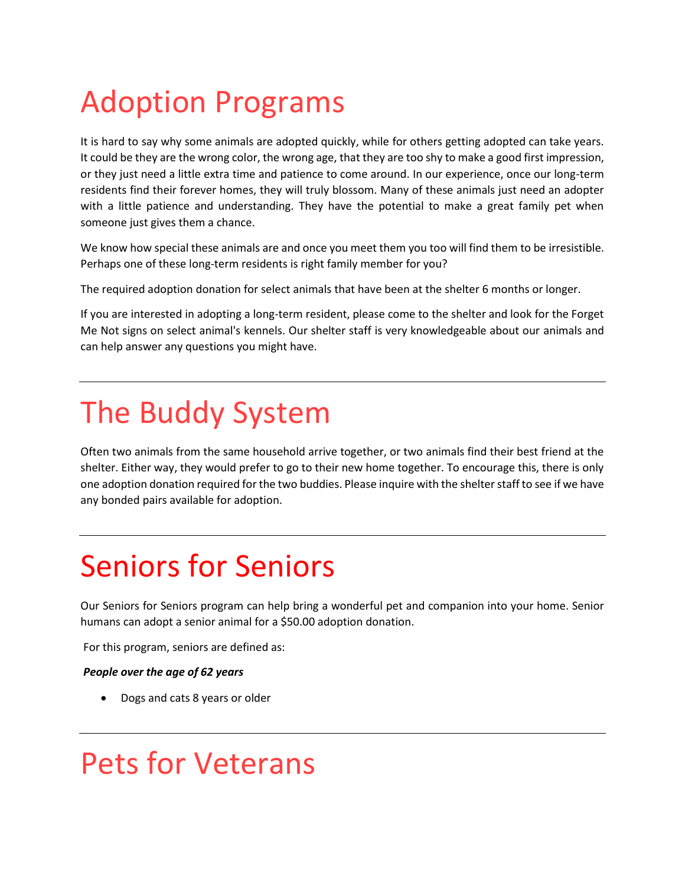# Adoption Programs

It is hard to say why some animals are adopted quickly, while for others getting adopted can take years. It could be they are the wrong color, the wrong age, that they are too shy to make a good first impression, or they just need a little extra time and patience to come around. In our experience, once our long-term residents find their forever homes, they will truly blossom. Many of these animals just need an adopter with a little patience and understanding. They have the potential to make a great family pet when someone just gives them a chance.

We know how special these animals are and once you meet them you too will find them to be irresistible. Perhaps one of these long-term residents is right family member for you?

The required adoption donation for select animals that have been at the shelter 6 months or longer.

If you are interested in adopting a long-term resident, please come to the shelter and look for the Forget Me Not signs on select animal's kennels. Our shelter staff is very knowledgeable about our animals and can help answer any questions you might have.

## The Buddy System

Often two animals from the same household arrive together, or two animals find their best friend at the shelter. Either way, they would prefer to go to their new home together. To encourage this, there is only one adoption donation required for the two buddies. Please inquire with the shelter staff to see if we have any bonded pairs available for adoption.

### Seniors for Seniors

Our Seniors for Seniors program can help bring a wonderful pet and companion into your home. Senior humans can adopt a senior animal for a \$50.00 adoption donation.

For this program, seniors are defined as:

#### *People over the age of 62 years*

• Dogs and cats 8 years or older

### Pets for Veterans